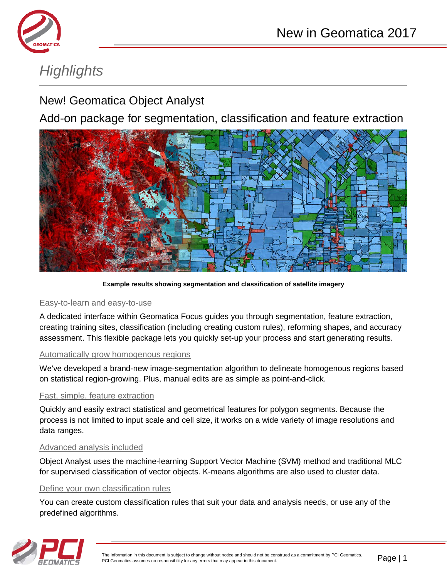

# *Highlights*

# New! Geomatica Object Analyst

Add-on package for segmentation, classification and feature extraction



**Example results showing segmentation and classification of satellite imagery**

## Easy-to-learn and easy-to-use

A dedicated interface within Geomatica Focus guides you through segmentation, feature extraction, creating training sites, classification (including creating custom rules), reforming shapes, and accuracy assessment. This flexible package lets you quickly set-up your process and start generating results.

## Automatically grow homogenous regions

We've developed a brand-new image-segmentation algorithm to delineate homogenous regions based on statistical region-growing. Plus, manual edits are as simple as point-and-click.

## Fast, simple, feature extraction

Quickly and easily extract statistical and geometrical features for polygon segments. Because the process is not limited to input scale and cell size, it works on a wide variety of image resolutions and data ranges.

## Advanced analysis included

Object Analyst uses the machine-learning Support Vector Machine (SVM) method and traditional MLC for supervised classification of vector objects. K-means algorithms are also used to cluster data.

#### Define your own classification rules

You can create custom classification rules that suit your data and analysis needs, or use any of the predefined algorithms.

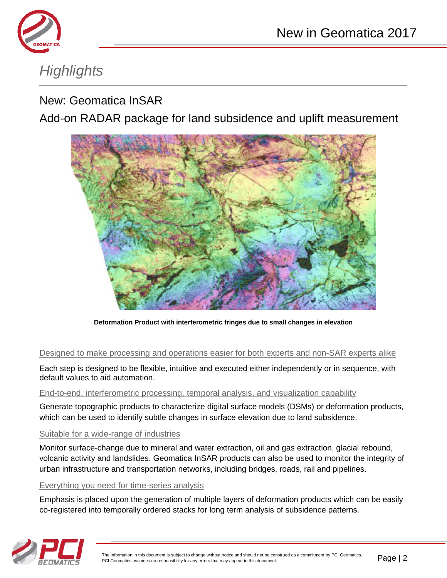



# *Highlights*

# New: Geomatica InSAR

Add-on RADAR package for land subsidence and uplift measurement



**Deformation Product with interferometric fringes due to small changes in elevation**

## Designed to make processing and operations easier for both experts and non-SAR experts alike

Each step is designed to be flexible, intuitive and executed either independently or in sequence, with default values to aid automation.

#### End-to-end, interferometric processing, temporal analysis, and visualization capability

Generate topographic products to characterize digital surface models (DSMs) or deformation products, which can be used to identify subtle changes in surface elevation due to land subsidence.

#### Suitable for a wide-range of industries

Monitor surface-change due to mineral and water extraction, oil and gas extraction, glacial rebound, volcanic activity and landslides. Geomatica InSAR products can also be used to monitor the integrity of urban infrastructure and transportation networks, including bridges, roads, rail and pipelines.

## Everything you need for time-series analysis

Emphasis is placed upon the generation of multiple layers of deformation products which can be easily co-registered into temporally ordered stacks for long term analysis of subsidence patterns.

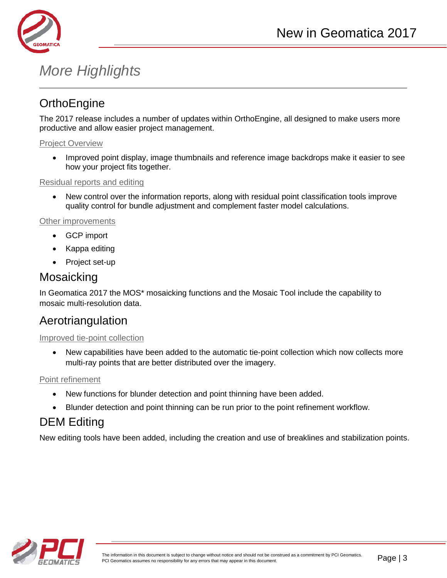

# *More Highlights*

# **OrthoEngine**

The 2017 release includes a number of updates within OrthoEngine, all designed to make users more productive and allow easier project management.

#### Project Overview

• Improved point display, image thumbnails and reference image backdrops make it easier to see how your project fits together.

Residual reports and editing

• New control over the information reports, along with residual point classification tools improve quality control for bundle adjustment and complement faster model calculations.

#### Other improvements

- GCP import
- Kappa editing
- Project set-up

# Mosaicking

In Geomatica 2017 the MOS\* mosaicking functions and the Mosaic Tool include the capability to mosaic multi-resolution data.

# Aerotriangulation

## Improved tie-point collection

• New capabilities have been added to the automatic tie-point collection which now collects more multi-ray points that are better distributed over the imagery.

## Point refinement

- New functions for blunder detection and point thinning have been added.
- Blunder detection and point thinning can be run prior to the point refinement workflow.

# DEM Editing

New editing tools have been added, including the creation and use of breaklines and stabilization points.

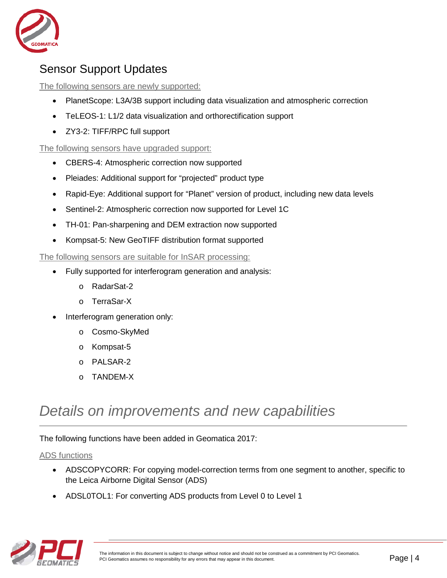

# Sensor Support Updates

The following sensors are newly supported:

- PlanetScope: L3A/3B support including data visualization and atmospheric correction
- TeLEOS-1: L1/2 data visualization and orthorectification support
- ZY3-2: TIFF/RPC full support

The following sensors have upgraded support:

- CBERS-4: Atmospheric correction now supported
- Pleiades: Additional support for "projected" product type
- Rapid-Eye: Additional support for "Planet" version of product, including new data levels
- Sentinel-2: Atmospheric correction now supported for Level 1C
- TH-01: Pan-sharpening and DEM extraction now supported
- Kompsat-5: New GeoTIFF distribution format supported

The following sensors are suitable for InSAR processing:

- Fully supported for interferogram generation and analysis:
	- o RadarSat-2
	- o TerraSar-X
- Interferogram generation only:
	- o Cosmo-SkyMed
	- o Kompsat-5
	- o PALSAR-2
	- o TANDEM-X

# *Details on improvements and new capabilities*

The following functions have been added in Geomatica 2017:

## ADS functions

- ADSCOPYCORR: For copying model-correction terms from one segment to another, specific to the Leica Airborne Digital Sensor (ADS)
- ADSL0TOL1: For converting ADS products from Level 0 to Level 1